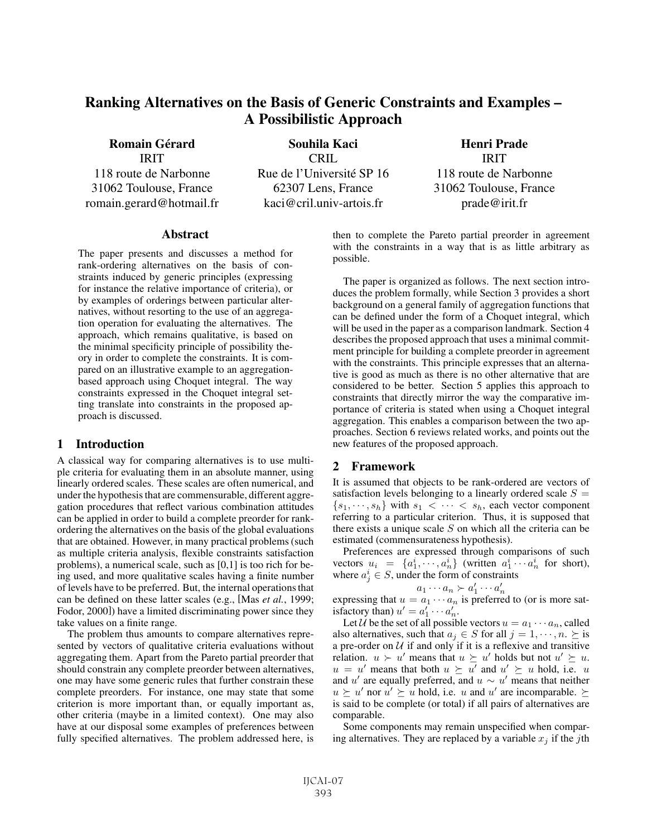# Ranking Alternatives on the Basis of Generic Constraints and Examples – A Possibilistic Approach

Romain Gérard **IRIT** 118 route de Narbonne

31062 Toulouse, France romain.gerard@hotmail.fr

Souhila Kaci CRIL Rue de l'Université SP 16 62307 Lens, France kaci@cril.univ-artois.fr

Henri Prade **IRIT** 118 route de Narbonne 31062 Toulouse, France prade@irit.fr

# **Abstract**

The paper presents and discusses a method for rank-ordering alternatives on the basis of constraints induced by generic principles (expressing for instance the relative importance of criteria), or by examples of orderings between particular alternatives, without resorting to the use of an aggregation operation for evaluating the alternatives. The approach, which remains qualitative, is based on the minimal specificity principle of possibility theory in order to complete the constraints. It is compared on an illustrative example to an aggregationbased approach using Choquet integral. The way constraints expressed in the Choquet integral setting translate into constraints in the proposed approach is discussed.

#### 1 Introduction

A classical way for comparing alternatives is to use multiple criteria for evaluating them in an absolute manner, using linearly ordered scales. These scales are often numerical, and under the hypothesis that are commensurable, different aggregation procedures that reflect various combination attitudes can be applied in order to build a complete preorder for rankordering the alternatives on the basis of the global evaluations that are obtained. However, in many practical problems (such as multiple criteria analysis, flexible constraints satisfaction problems), a numerical scale, such as [0,1] is too rich for being used, and more qualitative scales having a finite number of levels have to be preferred. But, the internal operations that can be defined on these latter scales (e.g., [Mas *et al.*, 1999; Fodor, 2000]) have a limited discriminating power since they take values on a finite range.

The problem thus amounts to compare alternatives represented by vectors of qualitative criteria evaluations without aggregating them. Apart from the Pareto partial preorder that should constrain any complete preorder between alternatives, one may have some generic rules that further constrain these complete preorders. For instance, one may state that some criterion is more important than, or equally important as, other criteria (maybe in a limited context). One may also have at our disposal some examples of preferences between fully specified alternatives. The problem addressed here, is then to complete the Pareto partial preorder in agreement with the constraints in a way that is as little arbitrary as possible.

The paper is organized as follows. The next section introduces the problem formally, while Section 3 provides a short background on a general family of aggregation functions that can be defined under the form of a Choquet integral, which will be used in the paper as a comparison landmark. Section 4 describes the proposed approach that uses a minimal commitment principle for building a complete preorder in agreement with the constraints. This principle expresses that an alternative is good as much as there is no other alternative that are considered to be better. Section 5 applies this approach to constraints that directly mirror the way the comparative importance of criteria is stated when using a Choquet integral aggregation. This enables a comparison between the two approaches. Section 6 reviews related works, and points out the new features of the proposed approach.

## 2 Framework

It is assumed that objects to be rank-ordered are vectors of satisfaction levels belonging to a linearly ordered scale  $S =$  ${s_1, \dots, s_h}$  with  $s_1 < \dots < s_h$ , each vector component referring to a particular criterion. Thus, it is supposed that there exists a unique scale  $S$  on which all the criteria can be estimated (commensurateness hypothesis).

Preferences are expressed through comparisons of such vectors  $u_i = \{a_1^i, \dots, a_n^i\}$  (written  $a_1^i \cdots a_n^i$  for short), where  $a_j^i \in S$ , under the form of constraints

$$
a_1 \cdots a_n \succ a'_1 \cdots a'_n
$$

expressing that  $u = a_1 \cdots a_n$  is preferred to (or is more satisfactory than)  $u' = a'_1 \cdots a'_n$ .

Let U be the set of all possible vectors  $u = a_1 \cdots a_n$ , called also alternatives, such that  $a_j \in S$  for all  $j = 1, \dots, n$ .  $\succeq$  is a pre-order on  $U$  if and only if it is a reflexive and transitive relation.  $u > u'$  means that  $u \succeq u'$  holds but not  $u' \succeq u$ .  $u = u'$  means that both  $u \succeq u'$  and  $u' \succeq u$  hold, i.e. u and u' are equally preferred, and  $u \sim u'$  means that neither  $u \succeq u'$  nor  $u' \succeq u$  hold, i.e. u and u' are incomparable.  $\succeq$ is said to be complete (or total) if all pairs of alternatives are comparable.

Some components may remain unspecified when comparing alternatives. They are replaced by a variable  $x_i$  if the jth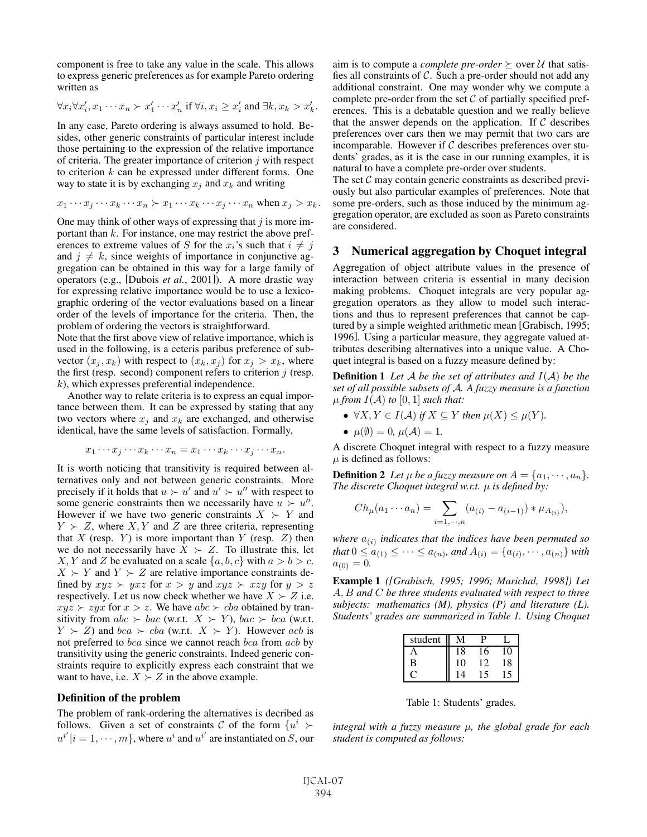component is free to take any value in the scale. This allows to express generic preferences as for example Pareto ordering written as

 $\forall x_i \forall x'_i, x_1 \cdots x_n \succ x'_1 \cdots x'_n$  if  $\forall i, x_i \geq x'_i$  and  $\exists k, x_k > x'_k$ .

In any case, Pareto ordering is always assumed to hold. Besides, other generic constraints of particular interest include those pertaining to the expression of the relative importance of criteria. The greater importance of criterion  $j$  with respect to criterion  $k$  can be expressed under different forms. One way to state it is by exchanging  $x_i$  and  $x_k$  and writing

$$
x_1 \cdots x_j \cdots x_k \cdots x_n \succ x_1 \cdots x_k \cdots x_j \cdots x_n \text{ when } x_j > x_k.
$$

One may think of other ways of expressing that  $j$  is more important than  $k$ . For instance, one may restrict the above preferences to extreme values of S for the  $x_i$ 's such that  $i \neq j$ and  $j \neq k$ , since weights of importance in conjunctive aggregation can be obtained in this way for a large family of operators (e.g., [Dubois *et al.*, 2001]). A more drastic way for expressing relative importance would be to use a lexicographic ordering of the vector evaluations based on a linear order of the levels of importance for the criteria. Then, the problem of ordering the vectors is straightforward.

Note that the first above view of relative importance, which is used in the following, is a ceteris paribus preference of subvector  $(x_i, x_k)$  with respect to  $(x_k, x_j)$  for  $x_j > x_k$ , where the first (resp. second) component refers to criterion  $j$  (resp.  $k$ ), which expresses preferential independence.

Another way to relate criteria is to express an equal importance between them. It can be expressed by stating that any two vectors where  $x_i$  and  $x_k$  are exchanged, and otherwise identical, have the same levels of satisfaction. Formally,

$$
x_1 \cdots x_j \cdots x_k \cdots x_n = x_1 \cdots x_k \cdots x_j \cdots x_n.
$$

It is worth noticing that transitivity is required between alternatives only and not between generic constraints. More precisely if it holds that  $u \succ u'$  and  $u' \succ u''$  with respect to some generic constraints then we necessarily have  $u > u''$ . However if we have two generic constraints  $X \succ Y$  and  $Y \succ Z$ , where X, Y and Z are three criteria, representing that X (resp. Y) is more important than Y (resp. Z) then we do not necessarily have  $X \succ Z$ . To illustrate this, let X, Y and Z be evaluated on a scale  $\{a, b, c\}$  with  $a > b > c$ .  $X \succ Y$  and  $Y \succ Z$  are relative importance constraints defined by  $xyz \succ yxz$  for  $x>y$  and  $xyz \succ xzy$  for  $y>z$ respectively. Let us now check whether we have  $X \succ Z$  i.e.  $xyz \succ zyx$  for  $x>z$ . We have  $abc \succ cba$  obtained by transitivity from  $abc \succ bac$  (w.r.t.  $X \succ Y$ ),  $bac \succ bca$  (w.r.t.  $Y \succ Z$ ) and  $bca \succ cba$  (w.r.t.  $X \succ Y$ ). However acb is not preferred to *bca* since we cannot reach *bca* from *acb* by transitivity using the generic constraints. Indeed generic constraints require to explicitly express each constraint that we want to have, i.e.  $X \succ Z$  in the above example.

## Definition of the problem

The problem of rank-ordering the alternatives is decribed as follows. Given a set of constraints C of the form  $\{u^i\}$  $u^{i'} | i = 1, \dots, m$ , where  $u^{i}$  and  $u^{i'}$  are instantiated on S, our aim is to compute a *complete pre-order*  $\succeq$  over U that satisfies all constraints of  $C$ . Such a pre-order should not add any additional constraint. One may wonder why we compute a complete pre-order from the set  $C$  of partially specified preferences. This is a debatable question and we really believe that the answer depends on the application. If  $\mathcal C$  describes preferences over cars then we may permit that two cars are incomparable. However if  $C$  describes preferences over students' grades, as it is the case in our running examples, it is natural to have a complete pre-order over students.

The set  $\mathcal C$  may contain generic constraints as described previously but also particular examples of preferences. Note that some pre-orders, such as those induced by the minimum aggregation operator, are excluded as soon as Pareto constraints are considered.

## 3 Numerical aggregation by Choquet integral

Aggregation of object attribute values in the presence of interaction between criteria is essential in many decision making problems. Choquet integrals are very popular aggregation operators as they allow to model such interactions and thus to represent preferences that cannot be captured by a simple weighted arithmetic mean [Grabisch, 1995; 1996]. Using a particular measure, they aggregate valued attributes describing alternatives into a unique value. A Choquet integral is based on a fuzzy measure defined by:

Definition 1 *Let* A *be the set of attributes and* I(A) *be the set of all possible subsets of* A*. A fuzzy measure is a function*  $\mu$  *from*  $I(A)$  *to*  $[0, 1]$  *such that:* 

- $\forall X, Y \in I(\mathcal{A})$  *if*  $X \subseteq Y$  *then*  $\mu(X) \leq \mu(Y)$ *.*
- $\mu(\emptyset) = 0, \mu(\mathcal{A}) = 1.$

A discrete Choquet integral with respect to a fuzzy measure  $\mu$  is defined as follows:

**Definition 2** Let  $\mu$  be a fuzzy measure on  $A = \{a_1, \dots, a_n\}$ . *The discrete Choquet integral w.r.t.* μ *is defined by:*

$$
Ch_{\mu}(a_1\cdots a_n)=\sum_{i=1,\cdots,n}(a_{(i)}-a_{(i-1)})*\mu_{A_{(i)}}),
$$

*where*  $a_{(i)}$  *indicates that the indices have been permuted so that*  $0 \le a_{(1)} \le \cdots \le a_{(n)}$ *, and*  $A_{(i)} = \{a_{(i)}, \cdots, a_{(n)}\}$  *with*  $a_{(0)} = 0.$ 

Example 1 *([Grabisch, 1995; 1996; Marichal, 1998]) Let* A, B *and* C *be three students evaluated with respect to three subjects: mathematics (M), physics (P) and literature (L). Students' grades are summarized in Table 1. Using Choquet*

| student |          |    |    |
|---------|----------|----|----|
|         | 18       | .6 |    |
| B       | $\Omega$ | 12 | 18 |
|         |          |    |    |

Table 1: Students' grades.

*integral with a fuzzy measure* μ*, the global grade for each student is computed as follows:*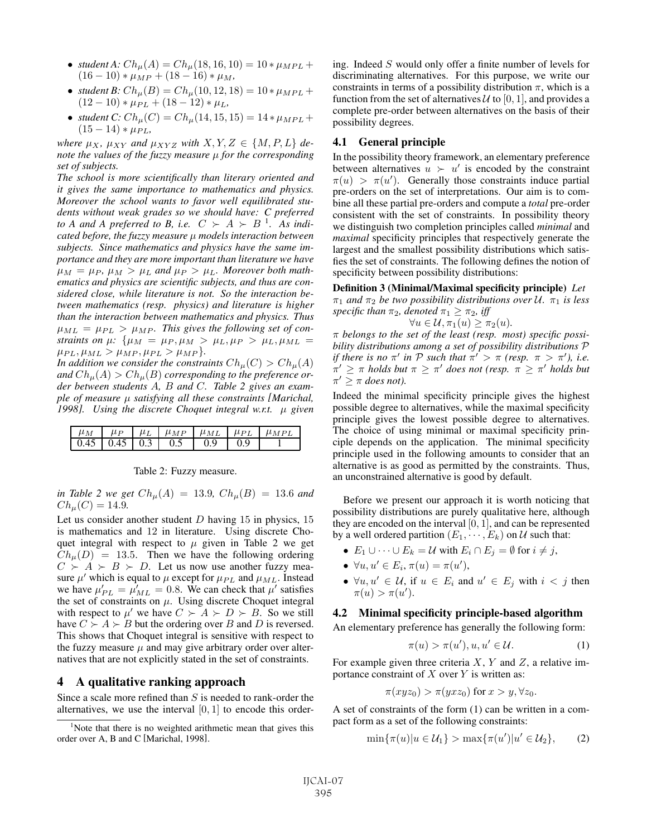- *student A:*  $Ch_{\mu}(A) = Ch_{\mu}(18, 16, 10) = 10 * \mu_{MPL} +$  $(16-10)*\mu_{MP} + (18-16)*\mu_{M}$
- *student B:*  $Ch_{\mu}(B) = Ch_{\mu}(10, 12, 18) = 10 * \mu_{MPL} +$  $(12-10)*\mu_{PL}^2 + (18-12)*\mu_L^2,$
- *student C:*  $Ch_u(C) = Ch_u(14, 15, 15) = 14 * \mu_{MPL} +$  $(15 - 14) * \mu_{PL}$

*where*  $\mu_X$ ,  $\mu_{XY}$  *and*  $\mu_{XYZ}$  *with*  $X, Y, Z \in \{M, P, L\}$  *denote the values of the fuzzy measure* μ *for the corresponding set of subjects.*

*The school is more scientifically than literary oriented and it gives the same importance to mathematics and physics. Moreover the school wants to favor well equilibrated students without weak grades so we should have: C preferred to A* and *A* preferred to *B*, i.e.  $C \succ A \succ B^{-1}$ . As indi*cated before, the fuzzy measure* μ *models interaction between subjects. Since mathematics and physics have the same importance and they are more important than literature we have*  $\mu_M = \mu_P$ ,  $\mu_M > \mu_L$  and  $\mu_P > \mu_L$ . Moreover both math*ematics and physics are scientific subjects, and thus are considered close, while literature is not. So the interaction between mathematics (resp. physics) and literature is higher than the interaction between mathematics and physics. Thus*  $\mu_{ML} = \mu_{PL} > \mu_{MP}$ . This gives the following set of con*straints on*  $\mu$ : { $\mu_M = \mu_P, \mu_M > \mu_L, \mu_P > \mu_L, \mu_{ML}$  $\mu_{PL}, \mu_{ML} > \mu_{MP}, \mu_{PL} > \mu_{MP}$ 

*In addition we consider the constraints*  $Ch_{\mu}(C) > Ch_{\mu}(A)$ *and*  $Ch_{\mu}(A) > Ch_{\mu}(B)$  *corresponding to the preference order between students* A*,* B *and* C*. Table 2 gives an example of measure* μ *satisfying all these constraints [Marichal, 1998]. Using the discrete Choquet integral w.r.t.* μ *given*

| $\mu_M$                                     | $\mu_{P}$ | $\mu_L$   $\mu_{MP}$   $\mu_{ML}$   $\mu_{PL}$ |   | $\mu_{MP}$ |
|---------------------------------------------|-----------|------------------------------------------------|---|------------|
| $\vert 0.45 \vert 0.45 \vert 0.3 \vert 0.5$ |           |                                                | Q |            |

Table 2: Fuzzy measure.

*in Table 2 we get*  $Ch_{\mu}(A) = 13.9$ *,*  $Ch_{\mu}(B) = 13.6$  *and*  $Ch_{\mu}(C) = 14.9.$ 

Let us consider another student  $D$  having 15 in physics, 15 is mathematics and 12 in literature. Using discrete Choquet integral with respect to  $\mu$  given in Table 2 we get  $Ch_u(D) = 13.5$ . Then we have the following ordering  $C > A > B > D$ . Let us now use another fuzzy measure  $\mu'$  which is equal to  $\mu$  except for  $\mu_{PL}$  and  $\mu_{ML}$ . Instead we have  $\mu'_{PL} = \mu'_{ML} = 0.8$ . We can check that  $\mu'$  satisfies the set of constraints on  $\mu$ . Using discrete Choquet integral with respect to  $\mu'$  we have  $C \succ A \succ D \succ B$ . So we still have  $C \succ A \succ B$  but the ordering over B and D is reversed. This shows that Choquet integral is sensitive with respect to the fuzzy measure  $\mu$  and may give arbitrary order over alternatives that are not explicitly stated in the set of constraints.

# 4 A qualitative ranking approach

Since a scale more refined than  $S$  is needed to rank-order the alternatives, we use the interval  $[0, 1]$  to encode this ordering. Indeed S would only offer a finite number of levels for discriminating alternatives. For this purpose, we write our constraints in terms of a possibility distribution  $\pi$ , which is a function from the set of alternatives  $\mathcal{U}$  to [0, 1], and provides a complete pre-order between alternatives on the basis of their possibility degrees.

## 4.1 General principle

In the possibility theory framework, an elementary preference between alternatives  $u \succ u'$  is encoded by the constraint  $\pi(u) > \pi(u')$ . Generally those constraints induce partial pre-orders on the set of interpretations. Our aim is to combine all these partial pre-orders and compute a *total* pre-order consistent with the set of constraints. In possibility theory we distinguish two completion principles called *minimal* and *maximal* specificity principles that respectively generate the largest and the smallest possibility distributions which satisfies the set of constraints. The following defines the notion of specificity between possibility distributions:

Definition 3 (Minimal/Maximal specificity principle) *Let*  $\pi_1$  *and*  $\pi_2$  *be two possibility distributions over U.*  $\pi_1$  *is less specific than*  $\pi_2$ *, denoted*  $\pi_1 \geq \pi_2$ *, iff*  $\forall u \in \mathcal{U}, \pi_1(u) \geq \pi_2(u)$ .

π *belongs to the set of the least (resp. most) specific possibility distributions among a set of possibility distributions* P *if there is no*  $\pi'$  *in*  $P$  *such that*  $\pi' > \pi$  (*resp.*  $\pi > \pi'$ *), i.e.*  $\pi' \geq \pi$  *holds but*  $\pi \geq \pi'$  does not (resp.  $\pi \geq \pi'$  holds but  $\pi' \geq \pi$  does not).

Indeed the minimal specificity principle gives the highest possible degree to alternatives, while the maximal specificity principle gives the lowest possible degree to alternatives. The choice of using minimal or maximal specificity principle depends on the application. The minimal specificity principle used in the following amounts to consider that an alternative is as good as permitted by the constraints. Thus, an unconstrained alternative is good by default.

Before we present our approach it is worth noticing that possibility distributions are purely qualitative here, although they are encoded on the interval  $[0, 1]$ , and can be represented by a well ordered partition  $(E_1, \dots, E_k)$  on U such that:

- $E_1 \cup \cdots \cup E_k = \mathcal{U}$  with  $E_i \cap E_j = \emptyset$  for  $i \neq j$ ,
- $\forall u, u' \in E_i, \pi(u) = \pi(u'),$
- $\forall u, u' \in \mathcal{U}$ , if  $u \in E_i$  and  $u' \in E_j$  with  $i < j$  then  $\pi(u) > \pi(u').$

#### 4.2 Minimal specificity principle-based algorithm

An elementary preference has generally the following form:

$$
\pi(u) > \pi(u'), u, u' \in \mathcal{U}.
$$
 (1)

For example given three criteria  $X, Y$  and  $Z$ , a relative importance constraint of  $X$  over  $Y$  is written as:

$$
\pi(xyz_0) > \pi(yxz_0) \text{ for } x > y, \forall z_0.
$$

A set of constraints of the form (1) can be written in a compact form as a set of the following constraints:

$$
\min\{\pi(u)|u \in \mathcal{U}_1\} > \max\{\pi(u')|u' \in \mathcal{U}_2\},\qquad(2)
$$

<sup>&</sup>lt;sup>1</sup>Note that there is no weighted arithmetic mean that gives this order over A, B and C [Marichal, 1998].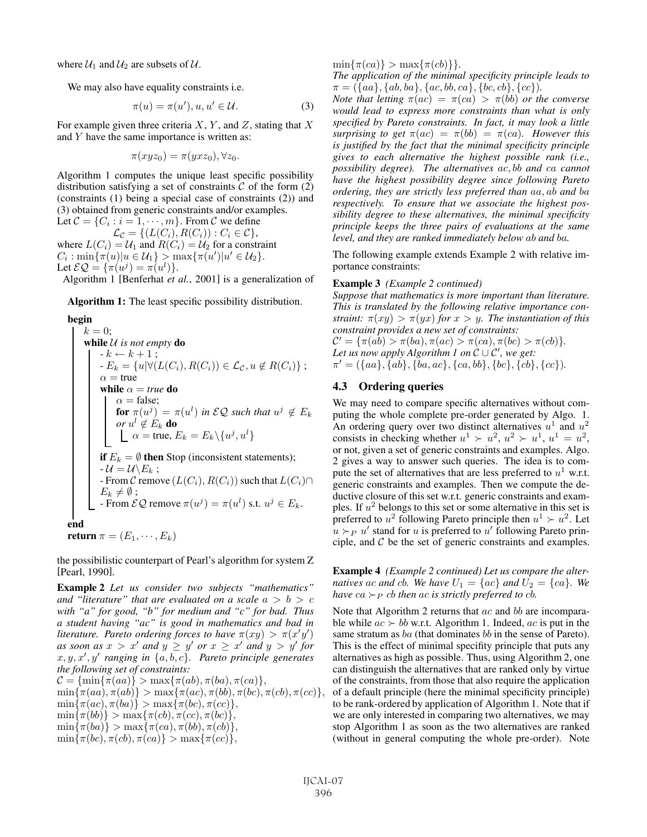where  $U_1$  and  $U_2$  are subsets of  $U$ .

begin

We may also have equality constraints i.e.

$$
\pi(u) = \pi(u'), u, u' \in \mathcal{U}.
$$
 (3)

For example given three criteria  $X, Y$ , and  $Z$ , stating that  $X$ and  $Y$  have the same importance is written as:

$$
\pi(xyz_0)=\pi(yxz_0), \forall z_0.
$$

Algorithm 1 computes the unique least specific possibility distribution satisfying a set of constraints  $C$  of the form  $(2)$ (constraints (1) being a special case of constraints (2)) and (3) obtained from generic constraints and/or examples. Let  $C = \{C_i : i = 1, \dots, m\}$ . From C we define

 $\mathcal{L}_{\mathcal{C}} = \{ (L(C_i), R(C_i)) : C_i \in \mathcal{C} \},\$ where  $L(C_i) = U_1$  and  $R(C_i) = U_2$  for a constraint  $C_i: \min\{\pi(u) | u \in \mathcal{U}_1\} > \max\{\pi(u') | u' \in \mathcal{U}_2\}.$ Let  $\mathcal{EQ} = {\pi(u^{j}) = \pi(u^{l})}.$ 

Algorithm 1 [Benferhat *et al.*, 2001] is a generalization of

Algorithm 1: The least specific possibility distribution.

k = 0; while U *is not empty* do - k ← k + 1 ; - E<sup>k</sup> = {u|∀(L(Ci), R(Ci)) ∈ LC, u ∈ R(Ci)} ; α = true while α = *true* do α = false; for π(u<sup>j</sup> ) = π(u<sup>l</sup> ) *in* EQ *such that* u<sup>j</sup> ∈ E<sup>k</sup> *or* u<sup>l</sup> ∈ E<sup>k</sup> do α = true, E<sup>k</sup> = Ek\{uj, u<sup>l</sup> } if E<sup>k</sup> = ∅ then Stop (inconsistent statements); - U = U\E<sup>k</sup> ; - From C remove (L(Ci), R(Ci)) such that L(Ci)∩ E<sup>k</sup> = ∅ ; - From EQ remove π(u<sup>j</sup> ) = π(u<sup>l</sup> ) s.t. u<sup>j</sup> ∈ Ek. end return π = (E1, ··· , Ek)

the possibilistic counterpart of Pearl's algorithm for system Z [Pearl, 1990].

Example 2 *Let us consider two subjects "mathematics"* and "literature" that are evaluated on a scale  $a > b > c$ *with "a" for good, "b" for medium and "c" for bad. Thus a student having "ac" is good in mathematics and bad in* literature. Pareto ordering forces to have  $\pi(xy) > \pi(x'y')$ *as soon as*  $x > x'$  *and*  $y \geq y'$  *or*  $x \geq x'$  *and*  $y > y'$  *for* x, y, x- , y- *ranging in* {a, b, c}*. Pareto principle generates the following set of constraints:*  $C = {\min{\pi(aa)}} > \max{\pi(ab), \pi(ba), \pi(ca)}$ 

 $\min{\pi(aa), \pi(ab)} > \max{\pi(ac), \pi(bb), \pi(bc), \pi(cb), \pi(cc)},$  $\min\{\pi(ac), \pi(ba)\} > \max\{\pi(bc), \pi(cc)\},\$  $min{\{\pi(bb)}$  >  $max{\{\pi(cb), \pi(cc), \pi(bc)\}},$  $\min\{\pi(ba)\} > \max\{\pi(ca), \pi(bb), \pi(cb)\},\,$  $\min{\pi(bc), \pi(cb), \pi(ca)} > \max{\pi(cc)},$ 

 $\min{\pi(ca)} > \max{\pi(cb)}$ 

*The application of the minimal specificity principle leads to*  $\pi = (\{aa\}, \{ab, ba\}, \{ac, bb, ca\}, \{bc, cb\}, \{cc\})$ .

*Note that letting*  $\pi(ac) = \pi(ca) > \pi(bb)$  *or the converse would lead to express more constraints than what is only specified by Pareto constraints. In fact, it may look a little surprising to get*  $\pi(ac) = \pi(bb) = \pi(ca)$ *. However this is justified by the fact that the minimal specificity principle gives to each alternative the highest possible rank (i.e., possibility degree). The alternatives* ac, bb *and* ca *cannot have the highest possibility degree since following Pareto ordering, they are strictly less preferred than* aa, ab *and* ba *respectively. To ensure that we associate the highest possibility degree to these alternatives, the minimal specificity principle keeps the three pairs of evaluations at the same level, and they are ranked immediately below* ab *and* ba*.*

The following example extends Example 2 with relative importance constraints:

#### Example 3 *(Example 2 continued)*

*Suppose that mathematics is more important than literature. This is translated by the following relative importance constraint:*  $\pi(xy) > \pi(yx)$  *for*  $x > y$ *. The instantiation of this constraint provides a new set of constraints:*  $\mathcal{C}' = {\pi(ab) > \pi(ba), \pi(ac) > \pi(ca), \pi(bc) > \pi(cb)}.$ *Let us now apply Algorithm<sup>'</sup> 1 on*  $\ddot{\mathcal{C}} \cup \ddot{\mathcal{C}}'$ *, we get:*  $\pi' = (\{aa\}, \{ab\}, \{ba, ac\}, \{ca, bb\}, \{bc\}, \{cb\}, \{cc\}).$ 

### 4.3 Ordering queries

We may need to compare specific alternatives without computing the whole complete pre-order generated by Algo. 1. An ordering query over two distinct alternatives  $u^1$  and  $u^2$ consists in checking whether  $u^1 \succ u^2$ ,  $u^2 \succ u^1$ ,  $u^1 = u^2$ , or not, given a set of generic constraints and examples. Algo. 2 gives a way to answer such queries. The idea is to compute the set of alternatives that are less preferred to  $u^1$  w.r.t. generic constraints and examples. Then we compute the deductive closure of this set w.r.t. generic constraints and examples. If  $u^2$  belongs to this set or some alternative in this set is preferred to  $u^2$  following Pareto principle then  $u^1 \succ u^2$ . Let  $u \succ_P u'$  stand for u is preferred to u' following Pareto principle, and  $C$  be the set of generic constraints and examples.

Example 4 *(Example 2 continued) Let us compare the alternatives* ac and cb. We have  $U_1 = \{ac\}$  and  $U_2 = \{ca\}$ . We *have*  $ca \succ_P cb$  *then*  $ac$  *is strictly preferred to cb.* 

Note that Algorithm 2 returns that  $ac$  and  $bb$  are incomparable while  $ac \succ bb$  w.r.t. Algorithm 1. Indeed, ac is put in the same stratum as ba (that dominates bb in the sense of Pareto). This is the effect of minimal specifity principle that puts any alternatives as high as possible. Thus, using Algorithm 2, one can distinguish the alternatives that are ranked only by virtue of the constraints, from those that also require the application of a default principle (here the minimal specificity principle) to be rank-ordered by application of Algorithm 1. Note that if we are only interested in comparing two alternatives, we may stop Algorithm 1 as soon as the two alternatives are ranked (without in general computing the whole pre-order). Note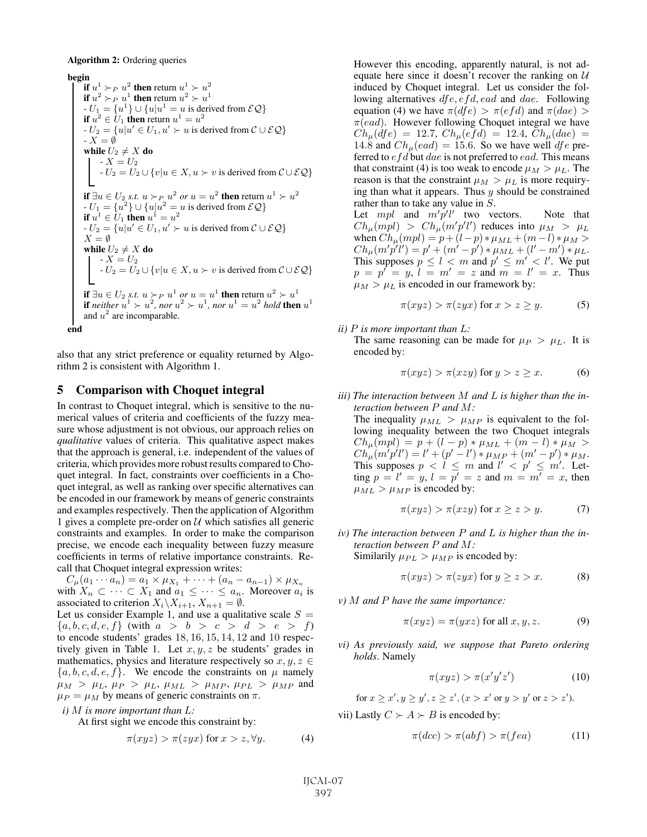#### Algorithm 2: Ordering queries

begin\n
$$
\begin{aligned}\n\text{begin}\n\text{begin}\n\text{if } u^1 \succ_P u^2 \text{ then return } u^1 \succ u^2 \\
\text{if } u^2 \succ_P u^1 \text{ then return } u^2 \succ u^1 \\
-I_1 &= \{u^1\} \cup \{u | u^1 = u \text{ is derived from } \mathcal{EQ}\} \\
\text{if } u^2 \in U_1 \text{ then return } u^1 = u^2 \\
-I_2 &= \{u | u' \in U_1, u' \succ u \text{ is derived from } \mathcal{C} \cup \mathcal{EQ}\} \\
-X &= \emptyset \\
\text{while } U_2 \neq X \text{ do} \\
-I_2 &= U_2 \cup \{v | u \in X, u \succ v \text{ is derived from } \mathcal{C} \cup \mathcal{EQ}\} \\
-I_2 &= U_2 \cup \{v | u \in X, u \succ v \text{ is derived from } \mathcal{C} \cup \mathcal{EQ}\} \\
\text{if } \exists u \in U_2 \text{ s.t. } u \succ_P u^2 \text{ or } u = u^2 \text{ then return } u^1 \succ u^2 \\
-I_1 &= \{u^2\} \cup \{u | u^2 = u \text{ is derived from } \mathcal{EQ}\} \\
\text{if } u^1 \in U_1 \text{ then } u^1 = u^2 \\
-I_2 &= \{u | u' \in U_1, u' \succ u \text{ is derived from } \mathcal{C} \cup \mathcal{EQ}\} \\
X &= \emptyset \\
\text{while } U_2 \neq X \text{ do} \\
-I_2 &= U_2 \cup \{v | u \in X, u \succ v \text{ is derived from } \mathcal{C} \cup \mathcal{EQ}\} \\
\text{if } \exists u \in U_2 \text{ s.t. } u \succ_P u^1 \text{ or } u = u^1 \text{ then return } u^2 \succ u^1 \\
\text{if } \text{neither } u^1 \succ u^2, \text{ nor } u^2 \succ u^1, \text{ nor } u^1 = u^2 \text{ hold then } u^1\n\end{aligned}
$$

also that any strict preference or equality returned by Algorithm 2 is consistent with Algorithm 1.

# 5 Comparison with Choquet integral

In contrast to Choquet integral, which is sensitive to the numerical values of criteria and coefficients of the fuzzy measure whose adjustment is not obvious, our approach relies on *qualitative* values of criteria. This qualitative aspect makes that the approach is general, i.e. independent of the values of criteria, which provides more robust results compared to Choquet integral. In fact, constraints over coefficients in a Choquet integral, as well as ranking over specific alternatives can be encoded in our framework by means of generic constraints and examples respectively. Then the application of Algorithm 1 gives a complete pre-order on  $U$  which satisfies all generic constraints and examples. In order to make the comparison precise, we encode each inequality between fuzzy measure coefficients in terms of relative importance constraints. Recall that Choquet integral expression writes:

 $C_{\mu}(a_1 \cdots a_n) = a_1 \times \mu_{X_1} + \cdots + (a_n - a_{n-1}) \times \mu_{X_n}$ with  $X_n \subset \cdots \subset X_1$  and  $a_1 \leq \cdots \leq a_n$ . Moreover  $a_i$  is associated to criterion  $X_i\backslash X_{i+1}$ ,  $X_{n+1} = \emptyset$ .

Let us consider Example 1, and use a qualitative scale  $S =$  ${a, b, c, d, e, f}$  (with  $a > b > c > d > e > f$ ) to encode students' grades 18, 16, 15, 14, 12 and 10 respectively given in Table 1. Let  $x, y, z$  be students' grades in mathematics, physics and literature respectively so  $x, y, z \in$  ${a, b, c, d, e, f}$ . We encode the constraints on  $\mu$  namely  $\mu_M$  >  $\mu_L$ ,  $\mu_P$  >  $\mu_L$ ,  $\mu_{ML}$  >  $\mu_{MP}$ ,  $\mu_{PL}$  >  $\mu_{MP}$  and  $\mu_P = \mu_M$  by means of generic constraints on  $\pi$ .

*i)* M *is more important than* L*:*

At first sight we encode this constraint by:

$$
\pi(xyz) > \pi(zyx) \text{ for } x > z, \forall y. \tag{4}
$$

However this encoding, apparently natural, is not adequate here since it doesn't recover the ranking on  $U$ induced by Choquet integral. Let us consider the following alternatives  $dfe, efd, ead$  and  $dae$ . Following equation (4) we have  $\pi(dfe) > \pi(efd)$  and  $\pi(dae) >$  $\pi(ead)$ . However following Choquet integral we have  $Ch_{\mu}(dfe) = 12.7, Ch_{\mu}(efd) = 12.4, Ch_{\mu}(dae) =$ 14.8 and  $Ch_{\mu}(ead) = 15.6$ . So we have well *df e* preferred to  $efd$  but dae is not preferred to ead. This means that constraint (4) is too weak to encode  $\mu_M > \mu_L$ . The reason is that the constraint  $\mu_M > \mu_L$  is more requirying than what it appears. Thus  $y$  should be constrained rather than to take any value in S.

Let mpl and  $m'p'l'$  two vectors. Note that  $Ch_{\mu}(mpl) > Ch_{\mu}(m'p'l')$  reduces into  $\mu_M > \mu_L$ when  $Ch_{\mu}(mpl) = p + (l-p) * \mu_{ML} + (m-l) * \mu_M >$  $Ch_{\mu}(m'p'l') = p' + (m'-p') * \mu_{ML} + (l'-m') * \mu_L.$ This supposes  $p \le l < m$  and  $p' \le m' < l'$ . We put  $p = p' = y, l = m' = z \text{ and } m = l' = x.$  Thus  $\mu_M > \mu_L$  is encoded in our framework by:

$$
\pi(xyz) > \pi(zyx) \text{ for } x > z \ge y. \tag{5}
$$

*ii)* P *is more important than* L*:*

The same reasoning can be made for  $\mu_P > \mu_L$ . It is encoded by:

$$
\pi(xyz) > \pi(xzy) \text{ for } y > z \ge x. \tag{6}
$$

*iii) The interaction between* M *and* L *is higher than the interaction between* P *and* M*:*

The inequality  $\mu_{ML} > \mu_{MP}$  is equivalent to the following inequality between the two Choquet integrals  $Ch_{\mu}(mpl) = p + (l - p) * \mu_{ML} + (m - l) * \mu_M >$  $Ch_{\mu}^{\mu}(m'p'l') = l' + (p'-l') * \mu_{MP} + (m'-p') * \mu_{M}.$ This supposes  $p < l \le m$  and  $l' < p' \le m'$ . Letting  $p = l' = y$ ,  $l = \overline{p'} = z$  and  $m = m' = x$ , then  $\mu_{ML} > \mu_{MP}$  is encoded by:

$$
\pi(xyz) > \pi(xzy) \text{ for } x \ge z > y. \tag{7}
$$

*iv) The interaction between* P *and* L *is higher than the interaction between* P *and* M*:* Similarily  $\mu_{PL} > \mu_{MP}$  is encoded by:

$$
\pi(xyz) > \pi(zyx) \text{ for } y \ge z > x. \tag{8}
$$

*v)* M *and* P *have the same importance:*

$$
\pi(xyz) = \pi(yxz) \text{ for all } x, y, z. \tag{9}
$$

*vi) As previously said, we suppose that Pareto ordering holds*. Namely

$$
\pi(xyz) > \pi(x'y'z') \tag{10}
$$

for  $x \ge x', y \ge y', z \ge z', (x > x' \text{ or } y > y' \text{ or } z > z').$ 

vii) Lastly  $C \succ A \succ B$  is encoded by:

$$
\pi(dcc) > \pi(abf) > \pi(fea)
$$
 (11)